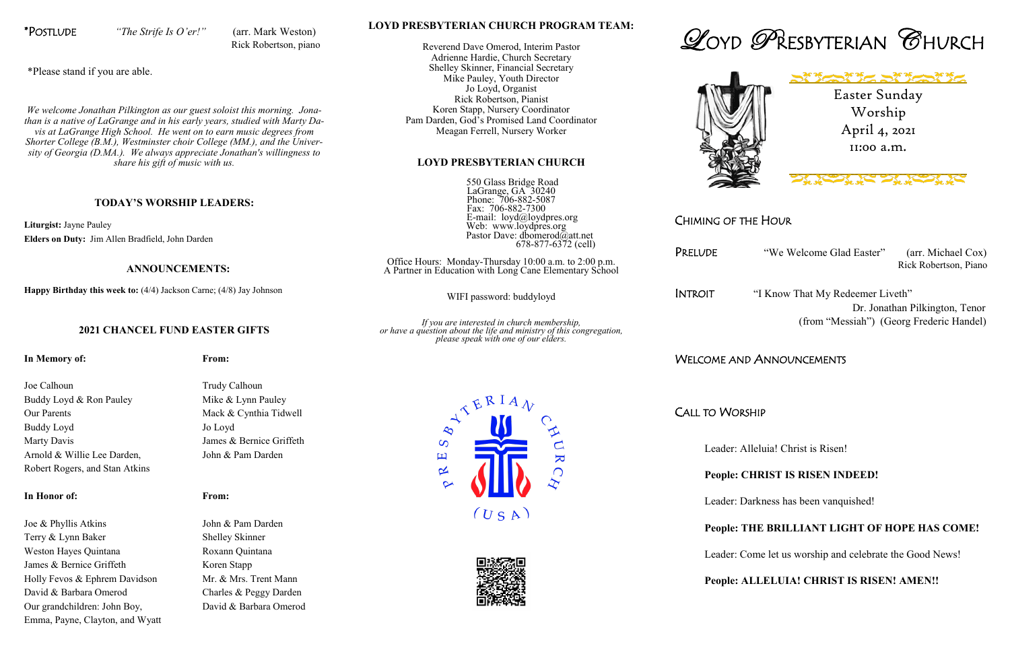

## CHIMING OF THE HOUR

PRELUDE "We Welcome Glad Easter" (arr. Michael Cox) Rick Robertson, Piano

INTROIT "I Know That My Redeemer Liveth" Dr. Jonathan Pilkington, Tenor (from "Messiah") (Georg Frederic Handel)

# WELCOME AND ANNOUNCEMENTS

CALL TO WORSHIP

Leader: Alleluia! Christ is Risen!

## **People: CHRIST IS RISEN INDEED!**

Leader: Darkness has been vanquished!

## **People: THE BRILLIANT LIGHT OF HOPE HAS COME!**

Leader: Come let us worship and celebrate the Good News!

## **People: ALLELUIA! CHRIST IS RISEN! AMEN!!**





Worship April 4, 2021 11:00 a.m.



## **LOYD PRESBYTERIAN CHURCH PROGRAM TEAM:**

Reverend Dave Omerod, Interim Pastor Adrienne Hardie, Church Secretary Shelley Skinner, Financial Secretary Mike Pauley, Youth Director Jo Loyd, Organist Rick Robertson, Pianist Koren Stapp, Nursery Coordinator Pam Darden, God's Promised Land Coordinator Meagan Ferrell, Nursery Worker

### **LOYD PRESBYTERIAN CHURCH**

 550 Glass Bridge Road LaGrange, GA 30240 Phone: 706-882-5087 Fax: 706-882-7300 E-mail: loyd@loydpres.org Web: www.loydpres.org Pastor Dave: dbomerod@att.net 678-877-6372 (cell)

Joe Calhoun Trudy Calhoun Buddy Loyd & Ron Pauley Mike & Lynn Pauley Our Parents Mack & Cynthia Tidwell Buddy Loyd Jo Loyd Marty Davis James & Bernice Griffeth Arnold & Willie Lee Darden, John & Pam Darden Robert Rogers, and Stan Atkins

Office Hours: Monday-Thursday 10:00 a.m. to 2:00 p.m. A Partner in Education with Long Cane Elementary School

WIFI password: buddyloyd

*If you are interested in church membership, or have a question about the life and ministry of this congregation, please speak with one of our elders.*









Joe & Phyllis Atkins John & Pam Darden Terry & Lynn Baker Shelley Skinner Weston Hayes Quintana Roxann Quintana James & Bernice Griffeth Koren Stapp Holly Fevos & Ephrem Davidson Mr. & Mrs. Trent Mann David & Barbara Omerod Charles & Peggy Darden Our grandchildren: John Boy, David & Barbara Omerod Emma, Payne, Clayton, and Wyatt

\*POSTLUDE *"The Strife Is O'er!"* (arr. Mark Weston) Rick Robertson, piano

\*Please stand if you are able.

*We welcome Jonathan Pilkington as our guest soloist this morning. Jonathan is a native of LaGrange and in his early years, studied with Marty Davis at LaGrange High School. He went on to earn music degrees from Shorter College (B.M.), Westminster choir College (MM.), and the University of Georgia (D.MA.). We always appreciate Jonathan's willingness to share his gift of music with us.*

### **TODAY'S WORSHIP LEADERS:**

**Liturgist:** Jayne Pauley **Elders on Duty:** Jim Allen Bradfield, John Darden

### **ANNOUNCEMENTS:**

**Happy Birthday this week to:** (4/4) Jackson Carne; (4/8) Jay Johnson

### **2021 CHANCEL FUND EASTER GIFTS**

**In Memory of: From:**

### **In Honor of: From:**